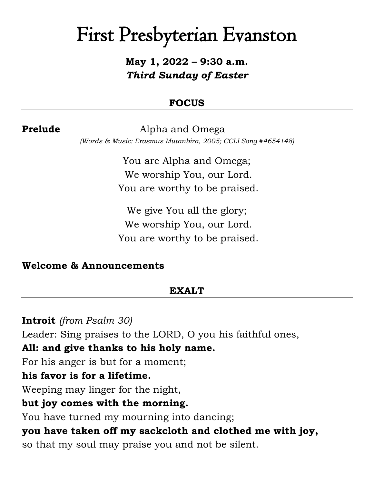# First Presbyterian Evanston

**May 1, 2022 – 9:30 a.m.** *Third Sunday of Easter*

# **FOCUS**

**Prelude Alpha and Omega** *(Words & Music: Erasmus Mutanbira, 2005; CCLI Song #4654148)*

> You are Alpha and Omega; We worship You, our Lord. You are worthy to be praised.

> We give You all the glory; We worship You, our Lord. You are worthy to be praised.

#### **Welcome & Announcements**

#### **EXALT**

**Introit** *(from Psalm 30)* Leader: Sing praises to the LORD, O you his faithful ones, **All: and give thanks to his holy name.** For his anger is but for a moment; **his favor is for a lifetime.** Weeping may linger for the night, **but joy comes with the morning.**  You have turned my mourning into dancing; **you have taken off my sackcloth and clothed me with joy,** so that my soul may praise you and not be silent.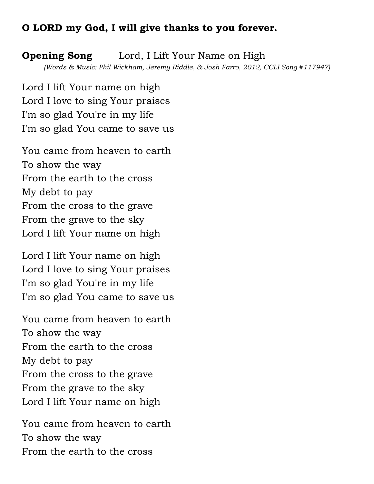#### **O LORD my God, I will give thanks to you forever.**

**Opening Song** Lord, I Lift Your Name on High *(Words & Music: Phil Wickham, Jeremy Riddle, & Josh Farro, 2012, CCLI Song #117947)*

Lord I lift Your name on high Lord I love to sing Your praises I'm so glad You're in my life I'm so glad You came to save us

You came from heaven to earth To show the way From the earth to the cross My debt to pay From the cross to the grave From the grave to the sky Lord I lift Your name on high

Lord I lift Your name on high Lord I love to sing Your praises I'm so glad You're in my life I'm so glad You came to save us

You came from heaven to earth To show the way From the earth to the cross My debt to pay From the cross to the grave From the grave to the sky Lord I lift Your name on high

You came from heaven to earth To show the way From the earth to the cross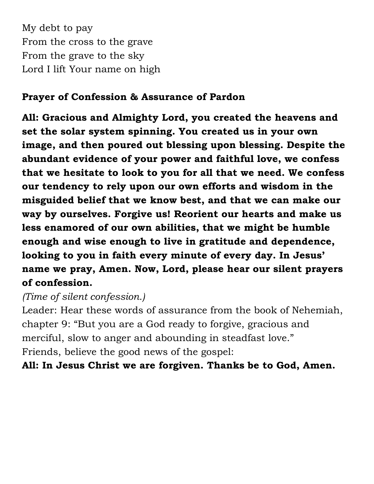My debt to pay From the cross to the grave From the grave to the sky Lord I lift Your name on high

### **Prayer of Confession & Assurance of Pardon**

**All: Gracious and Almighty Lord, you created the heavens and set the solar system spinning. You created us in your own image, and then poured out blessing upon blessing. Despite the abundant evidence of your power and faithful love, we confess that we hesitate to look to you for all that we need. We confess our tendency to rely upon our own efforts and wisdom in the misguided belief that we know best, and that we can make our way by ourselves. Forgive us! Reorient our hearts and make us less enamored of our own abilities, that we might be humble enough and wise enough to live in gratitude and dependence, looking to you in faith every minute of every day. In Jesus' name we pray, Amen. Now, Lord, please hear our silent prayers of confession.**

#### *(Time of silent confession.)*

Leader: Hear these words of assurance from the book of Nehemiah, chapter 9: "But you are a God ready to forgive, gracious and merciful, slow to anger and abounding in steadfast love." Friends, believe the good news of the gospel:

**All: In Jesus Christ we are forgiven. Thanks be to God, Amen.**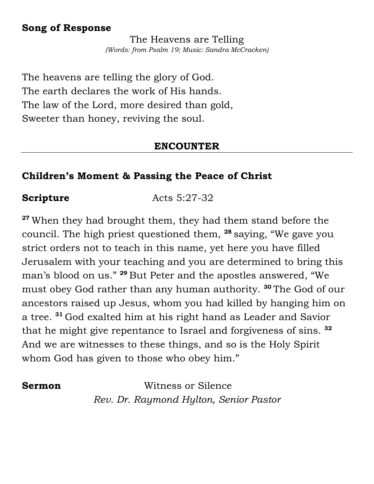### **Song of Response**

The Heavens are Telling *(Words: from Psalm 19; Music: Sandra McCracken)*

The heavens are telling the glory of God. The earth declares the work of His hands. The law of the Lord, more desired than gold, Sweeter than honey, reviving the soul.

#### **ENCOUNTER**

### **Children's Moment & Passing the Peace of Christ**

**Scripture** Acts 5:27-32

**<sup>27</sup>**When they had brought them, they had them stand before the council. The high priest questioned them, **<sup>28</sup>**saying, "We gave you strict orders not to teach in this name, yet here you have filled Jerusalem with your teaching and you are determined to bring this man's blood on us." **<sup>29</sup>**But Peter and the apostles answered, "We must obey God rather than any human authority. **<sup>30</sup>**The God of our ancestors raised up Jesus, whom you had killed by hanging him on a tree. **<sup>31</sup>**God exalted him at his right hand as Leader and Savior that he might give repentance to Israel and forgiveness of sins. **<sup>32</sup>** And we are witnesses to these things, and so is the Holy Spirit whom God has given to those who obey him."

**Sermon Witness or Silence** *Rev. Dr. Raymond Hylton, Senior Pastor*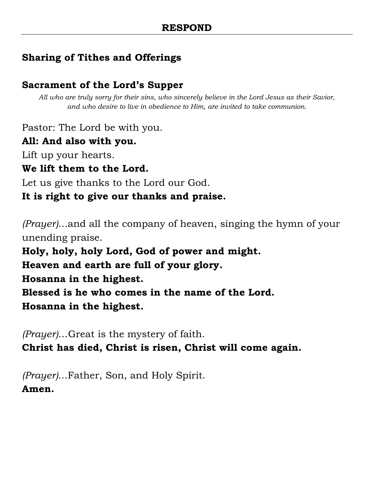# **Sharing of Tithes and Offerings**

# **Sacrament of the Lord's Supper**

*All who are truly sorry for their sins, who sincerely believe in the Lord Jesus as their Savior, and who desire to live in obedience to Him, are invited to take communion.*

Pastor: The Lord be with you.

### **All: And also with you.**

Lift up your hearts.

**We lift them to the Lord.**

Let us give thanks to the Lord our God.

# **It is right to give our thanks and praise.**

*(Prayer)*...and all the company of heaven, singing the hymn of your unending praise.

**Holy, holy, holy Lord, God of power and might.** 

**Heaven and earth are full of your glory.** 

**Hosanna in the highest.** 

**Blessed is he who comes in the name of the Lord.** 

**Hosanna in the highest.**

*(Prayer)*…Great is the mystery of faith. **Christ has died, Christ is risen, Christ will come again.**

*(Prayer)*...Father, Son, and Holy Spirit. **Amen.**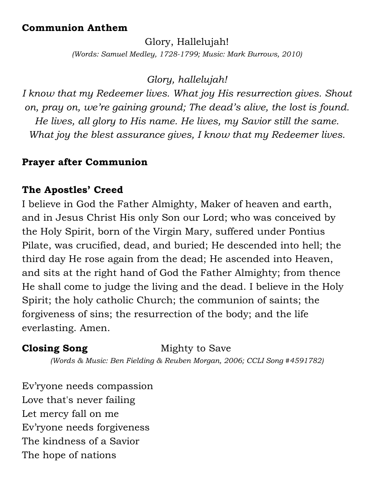#### **Communion Anthem**

Glory, Hallelujah!

*(Words: Samuel Medley, 1728-1799; Music: Mark Burrows, 2010)* 

*Glory, hallelujah!*

*I know that my Redeemer lives. What joy His resurrection gives. Shout on, pray on, we're gaining ground; The dead's alive, the lost is found. He lives, all glory to His name. He lives, my Savior still the same. What joy the blest assurance gives, I know that my Redeemer lives.*

#### **Prayer after Communion**

#### **The Apostles' Creed**

I believe in God the Father Almighty, Maker of heaven and earth, and in Jesus Christ His only Son our Lord; who was conceived by the Holy Spirit, born of the Virgin Mary, suffered under Pontius Pilate, was crucified, dead, and buried; He descended into hell; the third day He rose again from the dead; He ascended into Heaven, and sits at the right hand of God the Father Almighty; from thence He shall come to judge the living and the dead. I believe in the Holy Spirit; the holy catholic Church; the communion of saints; the forgiveness of sins; the resurrection of the body; and the life everlasting. Amen.

#### **Closing Song** Mighty to Save

*(Words & Music: Ben Fielding & Reuben Morgan, 2006; CCLI Song #4591782)*

Ev'ryone needs compassion Love that's never failing Let mercy fall on me Ev'ryone needs forgiveness The kindness of a Savior The hope of nations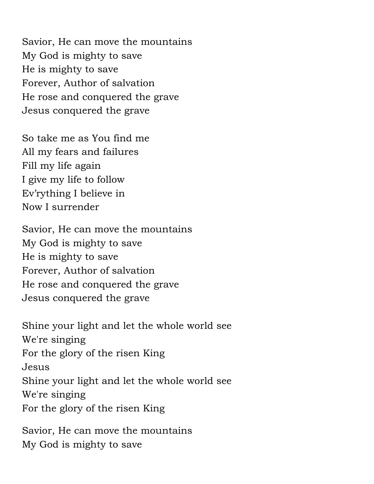Savior, He can move the mountains My God is mighty to save He is mighty to save Forever, Author of salvation He rose and conquered the grave Jesus conquered the grave

So take me as You find me All my fears and failures Fill my life again I give my life to follow Ev'rything I believe in Now I surrender

Savior, He can move the mountains My God is mighty to save He is mighty to save Forever, Author of salvation He rose and conquered the grave Jesus conquered the grave

Shine your light and let the whole world see We're singing For the glory of the risen King Jesus Shine your light and let the whole world see We're singing For the glory of the risen King

Savior, He can move the mountains My God is mighty to save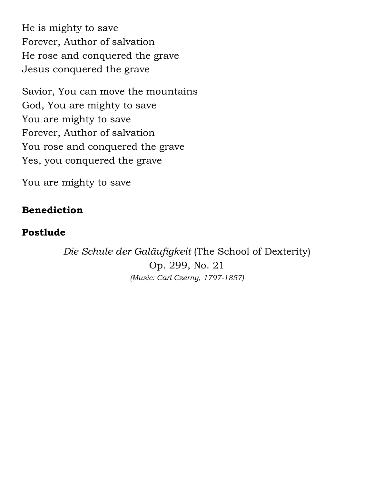He is mighty to save Forever, Author of salvation He rose and conquered the grave Jesus conquered the grave

Savior, You can move the mountains God, You are mighty to save You are mighty to save Forever, Author of salvation You rose and conquered the grave Yes, you conquered the grave

You are mighty to save

# **Benediction**

#### **Postlude**

*Die Schule der Galäufigkeit* (The School of Dexterity) Op. 299, No. 21 *(Music: Carl Czerny, 1797-1857)*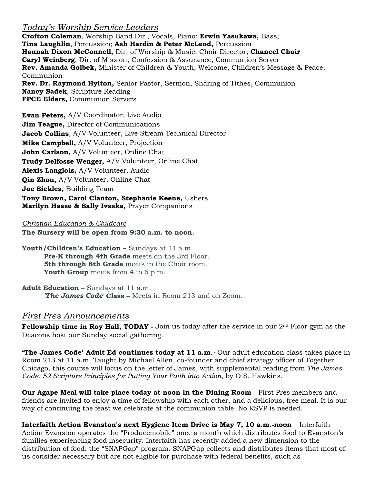#### *Today's Worship Service Leaders*

**Crofton Coleman**, Worship Band Dir., Vocals, Piano; **Erwin Yasukawa,** Bass; **Tina Laughlin**, Percussion; **Ash Hardin & Peter McLeod,** Percussion **Hannah Dixon McConnell,** Dir. of Worship & Music, Choir Director; **Chancel Choir Caryl Weinberg**, Dir. of Mission, Confession & Assurance, Communion Server **Rev. Amanda Golbek,** Minister of Children & Youth, Welcome, Children's Message & Peace, Communion **Rev. Dr. Raymond Hylton,** Senior Pastor, Sermon, Sharing of Tithes, Communion **Nancy Sadek**, Scripture Reading **FPCE Elders,** Communion Servers

**Evan Peters,** A/V Coordinator, Live Audio **Jim Teague,** Director of Communications **Jacob Collins**, A/V Volunteer, Live Stream Technical Director **Mike Campbell,** A/V Volunteer, Projection **John Carlson,** A/V Volunteer, Online Chat **Trudy Delfosse Wenger,** A/V Volunteer, Online Chat **Alexis Langlois,** A/V Volunteer, Audio **Qin Zhou,** A/V Volunteer, Online Chat **Joe Sickles,** Building Team **Tony Brown, Carol Clanton, Stephanie Keene,** Ushers

**Marilyn Haase & Sally Ivaska,** Prayer Companions

*Christian Education & Childcare* **The Nursery will be open from 9:30 a.m. to noon.**

Youth/Children's Education – Sundays at 11 a.m. **Pre-K through 4th Grade** meets on the 3rd Floor. **5th through 8th Grade** meets in the Choir room. Youth Group meets from 4 to 6 p.m.

**Adult Education –** Sundays at 11 a.m. *'The James Code'* **Class –** Meets in Room 213 and on Zoom.

#### *First Pres Announcements*

**Fellowship time in Roy Hall, TODAY** - Join us today after the service in our 2<sup>nd</sup> Floor gym as the Deacons host our Sunday social gathering.

**'The James Code' Adult Ed continues today at 11 a.m.** - Our adult education class takes place in Room 213 at 11 a.m. Taught by Michael Allen, co-founder and chief strategy officer of Together Chicago, this course will focus on the letter of James, with supplemental reading from *The James Code: 52 Scripture Principles for Putting Your Faith into Action*, by O.S. Hawkins.

**Our Agape Meal will take place today at noon in the Dining Room** - First Pres members and friends are invited to enjoy a time of fellowship with each other, and a delicious, free meal. It is our way of continuing the feast we celebrate at the communion table. No RSVP is needed.

**Interfaith Action Evanston's next Hygiene Item Drive is May 7, 10 a.m.-noon** – Interfaith Action Evanston operates the "Producemobile" once a month which distributes food to Evanston's families experiencing food insecurity. Interfaith has recently added a new dimension to the distribution of food: the "SNAPGap" program. SNAPGap collects and distributes items that most of us consider necessary but are not eligible for purchase with federal benefits, such as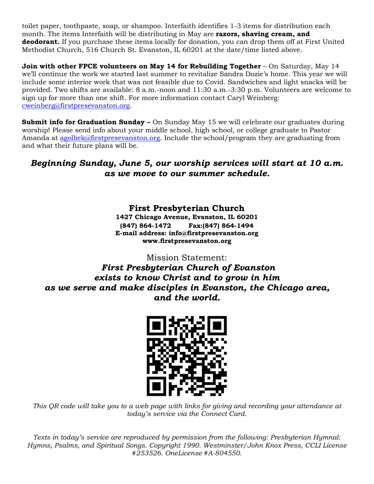toilet paper, toothpaste, soap, or shampoo. Interfaith identifies 1-3 items for distribution each month. The items Interfaith will be distributing in May are **razors, shaving cream, and deodorant.** If you purchase these items locally for donation, you can drop them off at First United Methodist Church, 516 Church St. Evanston, IL 60201 at the date/time listed above.

**Join with other FPCE volunteers on May 14 for Rebuilding Together** – On Saturday, May 14 we'll continue the work we started last summer to revitalize Sandra Dozie's home. This year we will include some interior work that was not feasible due to Covid. Sandwiches and light snacks will be provided. Two shifts are available: 8 a.m.-noon and 11:30 a.m.-3:30 p.m. Volunteers are welcome to sign up for more than one shift. For more information contact Caryl Weinberg: [cweinberg@firstpresevanston.org.](mailto:cweinberg@firstpresevanston.org)

**Submit info for Graduation Sunday –** On Sunday May 15 we will celebrate our graduates during worship! Please send info about your middle school, high school, or college graduate to Pastor Amanda at [agolbek@firstpresevanston.org.](mailto:agolbek@firstpresevanston.org) Include the school/program they are graduating from and what their future plans will be.

#### *Beginning Sunday, June 5, our worship services will start at 10 a.m. as we move to our summer schedule.*

#### **First Presbyterian Church**

**1427 Chicago Avenue, Evanston, IL 60201 (847) 864-1472 Fax:(847) 864-1494 E-mail address: [info@firstpresevanston.org](mailto:info@firstpresevanston.org) www.firstpresevanston.org**

Mission Statement:

*First Presbyterian Church of Evanston exists to know Christ and to grow in him as we serve and make disciples in Evanston, the Chicago area, and the world.*



*This QR code will take you to a web page with links for giving and recording your attendance at today's service via the Connect Card.*

*Texts in today's service are reproduced by permission from the following: Presbyterian Hymnal: Hymns, Psalms, and Spiritual Songs. Copyright 1990. Westminster/John Knox Press, CCLI License #253526. OneLicense #A-804550.*